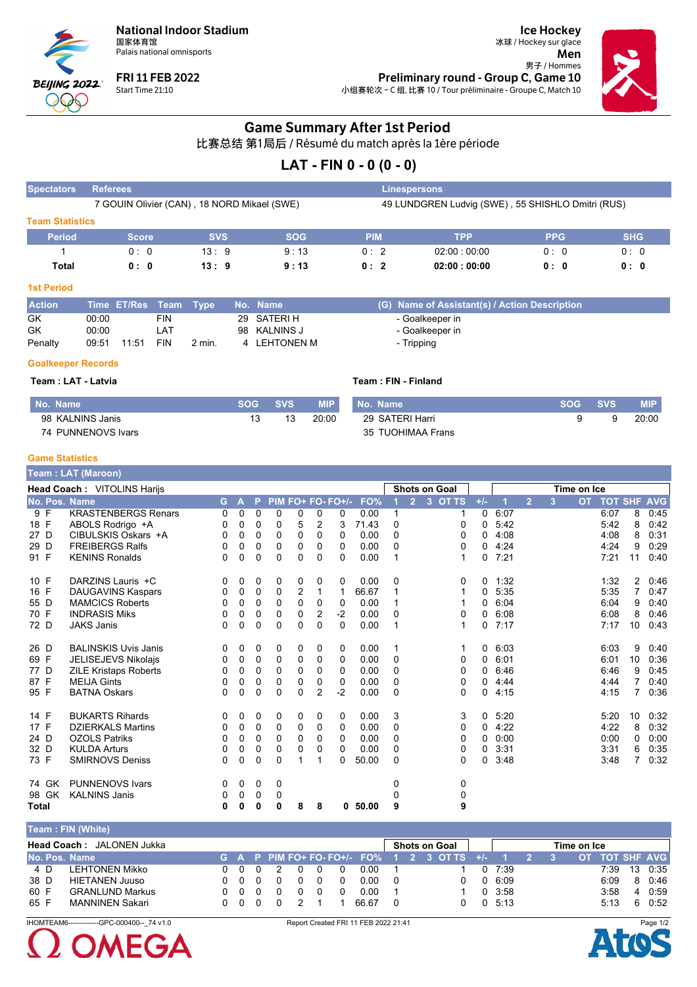

Palais national omnisports



**FRI 11 FEB 2022** Start Time 21:10

冰球 / Hockey sur glace Men 男子 / Hommes Preliminary round - Group C, Game 10 小组赛轮次-C组, 比赛 10 / Tour préliminaire - Groupe C, Match 10



**Ice Hockey** 

## **Game Summary After 1st Period**

比赛总结 第1局后 / Résumé du match après la 1ère période

# LAT - FIN  $0 - 0 (0 - 0)$

| <b>Spectators</b>      | <b>Referees</b>                             |            |            |            | <b>Linespersons</b>                               |             |            |
|------------------------|---------------------------------------------|------------|------------|------------|---------------------------------------------------|-------------|------------|
|                        | 7 GOUIN Olivier (CAN), 18 NORD Mikael (SWE) |            |            |            | 49 LUNDGREN Ludvig (SWE), 55 SHISHLO Dmitri (RUS) |             |            |
| <b>Team Statistics</b> |                                             |            |            |            |                                                   |             |            |
| <b>Period</b>          | <b>Score</b>                                | <b>SVS</b> | <b>SOG</b> | <b>PIM</b> | TPP                                               | <b>PPG</b>  | <b>SHG</b> |
|                        | 0:0                                         | 13:9       | 9:13       | 0:2        | 02:00:00:00                                       | $0 \cdot 0$ | 0:0        |
| Total                  | 0: 0                                        | 13:9       | 9:13       | 0:2        | 02:00:00:00                                       | 0:0         | 0:0        |

#### **1st Period**

| <b>Action</b> | Time ET/Res Team Type |            |        | 、 No. Name \ | (G) Name of Assistant(s) / Action Description |
|---------------|-----------------------|------------|--------|--------------|-----------------------------------------------|
| GK            | 00:00                 | <b>FIN</b> |        | 29 SATERI H  | - Goalkeeper in                               |
| GK            | 00:00                 | LA1        |        | 98 KALNINS J | - Goalkeeper in                               |
| Penalty       | 11:51<br>09:51        | FIN        | 2 min. | 4 LEHTONEN M | - Tripping                                    |

#### **Goalkeeper Records**

Team : LAT - Latvia Team: FIN - Finland No. Name **SOG SVS MIP** No. Name **SOG SVS MIP** 98 KALNINS Janis 29 SATERI Harri  $20:00$ 13 20:00 9 9 13 35 TUOHIMAA Frans 74 PUNNENOVS Ivars

#### **Game Statistics**

|              |       | Team: LAT (Maroon)           |    |              |          |             |                |                |                   |          |   |                |                      |              |      |                |   |             |                |                |            |
|--------------|-------|------------------------------|----|--------------|----------|-------------|----------------|----------------|-------------------|----------|---|----------------|----------------------|--------------|------|----------------|---|-------------|----------------|----------------|------------|
|              |       | Head Coach: VITOLINS Harijs  |    |              |          |             |                |                |                   |          |   |                | <b>Shots on Goal</b> |              |      |                |   | Time on Ice |                |                |            |
|              |       | No. Pos. Name                | G. | $\mathbf{A}$ | <b>P</b> |             |                |                | PIM FO+ FO- FO+/- | FO%      |   | $\overline{2}$ | 3 OT TS              | $+/-$        |      | $\overline{2}$ | 3 | <b>OT</b>   | <b>TOT SHF</b> |                | <b>AVG</b> |
|              | 9 F   | <b>KRASTENBERGS Renars</b>   | 0  | 0            | 0        | 0           | 0              | 0              | 0                 | 0.00     |   |                |                      | 0            | 6:07 |                |   |             | 6:07           | 8              | 0:45       |
| 18 F         |       | ABOLS Rodrigo +A             | 0  | 0            | 0        | 0           | 5              | $\overline{2}$ | 3                 | 71.43    | 0 |                | 0                    | 0            | 5:42 |                |   |             | 5.42           | 8              | 0:42       |
| 27 D         |       | CIBULSKIS Oskars +A          | 0  | 0            | 0        | 0           | 0              | 0              | 0                 | 0.00     | 0 |                | 0                    | 0            | 4:08 |                |   |             | 4:08           | 8              | 0:31       |
| 29 D         |       | <b>FREIBERGS Ralfs</b>       | 0  | 0            | 0        | 0           | 0              | 0              | 0                 | 0.00     | 0 |                | 0                    | 0            | 4:24 |                |   |             | 4:24           | 9              | 0:29       |
| 91 F         |       | <b>KENINS Ronalds</b>        | 0  | 0            | 0        | 0           | 0              | 0              | 0                 | 0.00     | 1 |                | 1                    | 0            | 7:21 |                |   |             | 7:21           | 11             | 0:40       |
| 10 F         |       | DARZINS Lauris +C            | 0  | 0            | 0        | 0           | 0              | 0              | 0                 | 0.00     | 0 |                | 0                    | 0            | 1:32 |                |   |             | 1:32           | $\overline{2}$ | 0:46       |
| 16 F         |       | <b>DAUGAVINS Kaspars</b>     | 0  | 0            | 0        | 0           | $\overline{2}$ | 1              | 1                 | 66.67    |   |                |                      | 0            | 5:35 |                |   |             | 5:35           | 7              | 0:47       |
| 55 D         |       | <b>MAMCICS Roberts</b>       | 0  | 0            | 0        | $\Omega$    | $\Omega$       | 0              | 0                 | 0.00     |   |                |                      | 0            | 6:04 |                |   |             | 6:04           | 9              | 0:40       |
| 70 F         |       | <b>INDRASIS Miks</b>         | 0  | 0            | 0        | 0           | 0              | 2              | $-2$              | 0.00     | 0 |                | 0                    | $\Omega$     | 6:08 |                |   |             | 6:08           | 8              | 0:46       |
| 72 D         |       | <b>JAKS Janis</b>            | 0  | 0            | $\Omega$ | $\Omega$    | $\Omega$       | $\Omega$       | $\Omega$          | 0.00     | 1 |                | 1                    | 0            | 7:17 |                |   |             | 7:17           | 10             | 0:43       |
| 26 D         |       | <b>BALINSKIS Uvis Janis</b>  | 0  | 0            | 0        | 0           | 0              | 0              | 0                 | 0.00     | 1 |                |                      | $\mathbf{0}$ | 6:03 |                |   |             | 6:03           | 9              | 0:40       |
| 69 F         |       | JELISEJEVS Nikolajs          | 0  | 0            | 0        | 0           | 0              | 0              | 0                 | 0.00     | 0 |                | 0                    | 0            | 6:01 |                |   |             | 6:01           | 10             | 0:36       |
| 77 D         |       | <b>ZILE Kristaps Roberts</b> | 0  | 0            | 0        | $\mathbf 0$ | $\mathbf 0$    | $\mathbf 0$    | 0                 | 0.00     | 0 |                | 0                    | 0            | 6:46 |                |   |             | 6:46           | 9              | 0:45       |
| 87 F         |       | <b>MEIJA Gints</b>           | 0  | 0            | 0        | 0           | 0              | 0              | 0                 | 0.00     | 0 |                | 0                    | 0            | 4.44 |                |   |             | 4:44           |                | 0:40       |
| 95 F         |       | <b>BATNA Oskars</b>          | 0  | 0            | 0        | $\Omega$    | $\Omega$       | $\overline{2}$ | $-2$              | 0.00     | 0 |                | 0                    | 0            | 4:15 |                |   |             | 4:15           | 7              | 0:36       |
| 14 F         |       | <b>BUKARTS Rihards</b>       | 0  | 0            | 0        | 0           | 0              | 0              | 0                 | 0.00     | 3 |                | 3                    | $\mathbf 0$  | 5:20 |                |   |             | 5:20           | 10             | 0:32       |
| 17 F         |       | <b>DZIERKALS Martins</b>     | 0  | 0            | 0        | 0           | 0              | 0              | 0                 | 0.00     | 0 |                | 0                    | 0            | 4:22 |                |   |             | 4:22           | 8              | 0:32       |
| 24 D         |       | <b>OZOLS Patriks</b>         | 0  | 0            | 0        | $\Omega$    | $\Omega$       | 0              | 0                 | 0.00     | 0 |                | 0                    | 0            | 0:00 |                |   |             | 0:00           | 0              | 0:00       |
| 32 D         |       | <b>KULDA Arturs</b>          | 0  | 0            | 0        | 0           | 0              | 0              | 0                 | 0.00     | 0 |                | 0                    | 0            | 3:31 |                |   |             | 3:31           | 6              | 0:35       |
| 73 F         |       | <b>SMIRNOVS Deniss</b>       | 0  | 0            | 0        | 0           | 1              | $\mathbf 1$    | 0                 | 50.00    | 0 |                | 0                    | 0            | 3:48 |                |   |             | 3:48           | $\overline{7}$ | 0:32       |
|              | 74 GK | <b>PUNNENOVS Ivars</b>       | 0  | 0            | 0        | 0           |                |                |                   |          | 0 |                | 0                    |              |      |                |   |             |                |                |            |
|              | 98 GK | <b>KALNINS Janis</b>         | 0  | 0            | 0        | 0           |                |                |                   |          | 0 |                | 0                    |              |      |                |   |             |                |                |            |
| <b>Total</b> |       |                              | 0  | 0            | 0        | 0           | 8              | 8              |                   | 0, 50.00 | 9 |                | 9                    |              |      |                |   |             |                |                |            |

#### Team : FIN (White) Head Coach: JALONEN Jukka **Shots on Goal** Time on Ice  $3$  OT T No. Pos. Name **OT TOT SHF**  $\overline{O}$  $\Omega$  $O+$ FO **AVG I FHTONEN Mikko**  $\overline{4}$  D  $\overline{0}$  $\overline{0}$  $\overline{0}$  $\overline{\phantom{a}}$  $\overline{0}$  $\overline{0}$  $\overline{0}$  $\overline{0.00}$  $\overline{0}$  $7:39$  $7.39$  $\overline{13}$  $0.35$  $\overline{1}$  $\overline{1}$ 38 D  $\mathbf 0$  $\mathbf 0$  $\mathbf 0$  $\mathbf 0$  $0.00$  $6:09$ **HIETANEN Juuso**  $\pmb{0}$  $\mathbf 0$  $\pmb{0}$  $\mathbf 0$  $\pmb{0}$  $\mathbf 0$  $6:09$ 8 0:46 60 F **GRANLUND Markus**  $\pmb{0}$  $\pmb{0}$  $\mathbf 0$  $\mathbf 0$  $\mathbf 0$  $\mathbf 0$  $\pmb{0}$  $0.00$  $\overline{1}$  $\overline{1}$  $0\quad 3:58$  $3:58$ 4 0:59 65 F **MANNINEN Sakari**  $\overline{0}$  $0\quad 0$  $\overline{0}$  $\overline{2}$  $\mathbf 0$  $0 5:13$  $60:52$ 66.67  $\mathbf 0$  $5:13$  $\overline{1}$  $\mathbf{1}$

IHOMTFAM6------------GPC-000400-- 74 v1.0 Report Created FRI 11 FEB 2022 21:41